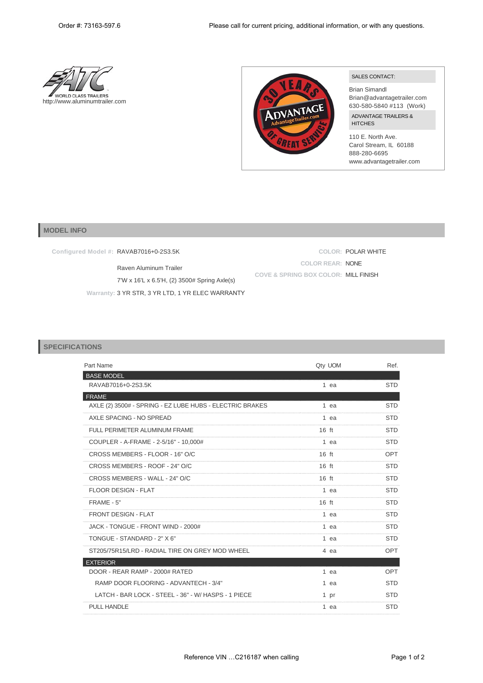



## SALES CONTACT:

Brian Simandl Brian@advantagetrailer.com 630-580-5840 #113 (Work) ADVANTAGE TRAILERS & **HITCHES** 

110 E. North Ave. Carol Stream, IL 60188 888-280-6695 www.advantagetrailer.com

## **MODEL INFO**

**Configured Model #:** RAVAB7016+0-2S3.5K

Raven Aluminum Trailer 7'W x 16'L x 6.5'H, (2) 3500# Spring Axle(s) **Warranty:** 3 YR STR, 3 YR LTD, 1 YR ELEC WARRANTY

**COLOR:** POLAR WHITE **COLOR REAR:** NONE **COVE & SPRING BOX COLOR:** MILL FINISH

## **SPECIFICATIONS**

| Part Name                                                |                 | Qty UOM | Ref.       |
|----------------------------------------------------------|-----------------|---------|------------|
| <b>BASE MODEL</b>                                        |                 |         |            |
| RAVAB7016+0-2S3.5K                                       |                 | 1 ea    | <b>STD</b> |
| <b>FRAME</b>                                             |                 |         |            |
| AXLE (2) 3500# - SPRING - EZ LUBE HUBS - ELECTRIC BRAKES |                 | 1 ea    | <b>STD</b> |
| AXLE SPACING - NO SPREAD                                 |                 | 1 ea    | <b>STD</b> |
| FULL PERIMETER ALUMINUM FRAME                            | $16$ ft         |         | <b>STD</b> |
| COUPLER - A-FRAME - 2-5/16" - 10.000#                    |                 | 1 ea    | <b>STD</b> |
| CROSS MEMBERS - FLOOR - 16" O/C                          | $16$ ft         |         | OPT        |
| CROSS MEMBERS - ROOF - 24" O/C                           | $16$ ft         |         | <b>STD</b> |
| CROSS MEMBERS - WALL - 24" O/C                           | $16$ ft         |         | <b>STD</b> |
| <b>FLOOR DESIGN - FLAT</b>                               |                 | 1 ea    | <b>STD</b> |
| $FRAME - 5"$                                             | $16 \text{ ft}$ |         | <b>STD</b> |
| <b>FRONT DESIGN - FLAT</b>                               |                 | 1 ea    | <b>STD</b> |
| JACK - TONGUE - FRONT WIND - 2000#                       |                 | 1 ea    | <b>STD</b> |
| TONGUE - STANDARD - 2" X 6"                              |                 | 1 ea    | <b>STD</b> |
| ST205/75R15/LRD - RADIAL TIRE ON GREY MOD WHEEL          |                 | 4 ea    | OPT        |
| <b>EXTERIOR</b>                                          |                 |         |            |
| DOOR - REAR RAMP - 2000# RATED                           |                 | $1$ ea  | OPT        |
| RAMP DOOR FLOORING - ADVANTECH - 3/4"                    |                 | 1 ea    | <b>STD</b> |
| LATCH - BAR LOCK - STEEL - 36" - W/ HASPS - 1 PIECE      |                 | 1 pr    | <b>STD</b> |
| <b>PULL HANDLE</b>                                       |                 | 1 ea    | <b>STD</b> |